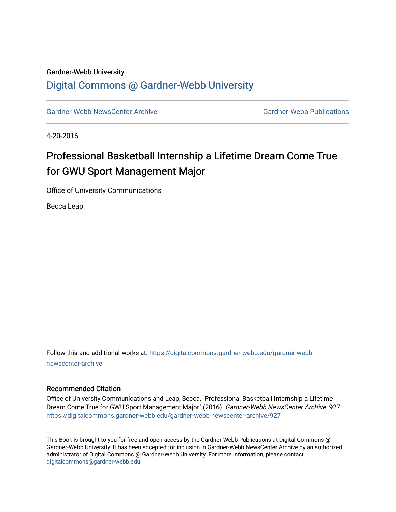#### Gardner-Webb University

### [Digital Commons @ Gardner-Webb University](https://digitalcommons.gardner-webb.edu/)

[Gardner-Webb NewsCenter Archive](https://digitalcommons.gardner-webb.edu/gardner-webb-newscenter-archive) Gardner-Webb Publications

4-20-2016

## Professional Basketball Internship a Lifetime Dream Come True for GWU Sport Management Major

Office of University Communications

Becca Leap

Follow this and additional works at: [https://digitalcommons.gardner-webb.edu/gardner-webb](https://digitalcommons.gardner-webb.edu/gardner-webb-newscenter-archive?utm_source=digitalcommons.gardner-webb.edu%2Fgardner-webb-newscenter-archive%2F927&utm_medium=PDF&utm_campaign=PDFCoverPages)[newscenter-archive](https://digitalcommons.gardner-webb.edu/gardner-webb-newscenter-archive?utm_source=digitalcommons.gardner-webb.edu%2Fgardner-webb-newscenter-archive%2F927&utm_medium=PDF&utm_campaign=PDFCoverPages)

#### Recommended Citation

Office of University Communications and Leap, Becca, "Professional Basketball Internship a Lifetime Dream Come True for GWU Sport Management Major" (2016). Gardner-Webb NewsCenter Archive. 927. [https://digitalcommons.gardner-webb.edu/gardner-webb-newscenter-archive/927](https://digitalcommons.gardner-webb.edu/gardner-webb-newscenter-archive/927?utm_source=digitalcommons.gardner-webb.edu%2Fgardner-webb-newscenter-archive%2F927&utm_medium=PDF&utm_campaign=PDFCoverPages)

This Book is brought to you for free and open access by the Gardner-Webb Publications at Digital Commons @ Gardner-Webb University. It has been accepted for inclusion in Gardner-Webb NewsCenter Archive by an authorized administrator of Digital Commons @ Gardner-Webb University. For more information, please contact [digitalcommons@gardner-webb.edu](mailto:digitalcommons@gardner-webb.edu).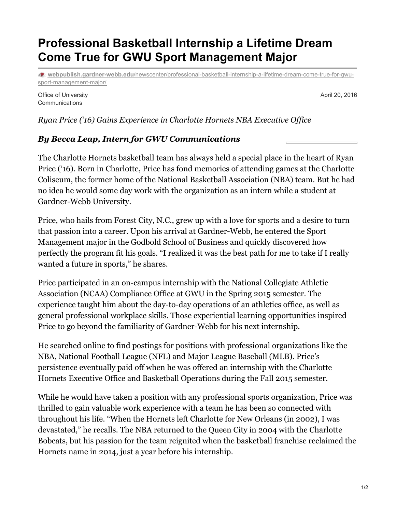# **Professional Basketball Internship a Lifetime Dream Come True for GWU Sport Management Major**

**webpublish.gardner-webb.edu**[/newscenter/professional-basketball-internship-a-lifetime-dream-come-true-for-gwu](https://webpublish.gardner-webb.edu/newscenter/professional-basketball-internship-a-lifetime-dream-come-true-for-gwu-sport-management-major/)sport-management-major/

Office of University **Communications** 

April 20, 2016

*Ryan Price ('16) Gains Experience in Charlotte Hornets NBA Executive Of ice*

### *By Becca Leap, Intern for GWU Communications*

The Charlotte Hornets basketball team has always held a special place in the heart of Ryan Price ('16). Born in Charlotte, Price has fond memories of attending games at the Charlotte Coliseum, the former home of the National Basketball Association (NBA) team. But he had no idea he would some day work with the organization as an intern while a student at Gardner-Webb University.

Price, who hails from Forest City, N.C., grew up with a love for sports and a desire to turn that passion into a career. Upon his arrival at Gardner-Webb, he entered the Sport Management major in the Godbold School of Business and quickly discovered how perfectly the program fit his goals. "I realized it was the best path for me to take if I really wanted a future in sports," he shares.

Price participated in an on-campus internship with the National Collegiate Athletic Association (NCAA) Compliance Office at GWU in the Spring 2015 semester. The experience taught him about the day-to-day operations of an athletics office, as well as general professional workplace skills. Those experiential learning opportunities inspired Price to go beyond the familiarity of Gardner-Webb for his next internship.

He searched online to find postings for positions with professional organizations like the NBA, National Football League (NFL) and Major League Baseball (MLB). Price's persistence eventually paid off when he was offered an internship with the Charlotte Hornets Executive Office and Basketball Operations during the Fall 2015 semester.

While he would have taken a position with any professional sports organization, Price was thrilled to gain valuable work experience with a team he has been so connected with throughout his life. "When the Hornets left Charlotte for New Orleans (in 2002), I was devastated," he recalls. The NBA returned to the Queen City in 2004 with the Charlotte Bobcats, but his passion for the team reignited when the basketball franchise reclaimed the Hornets name in 2014, just a year before his internship.